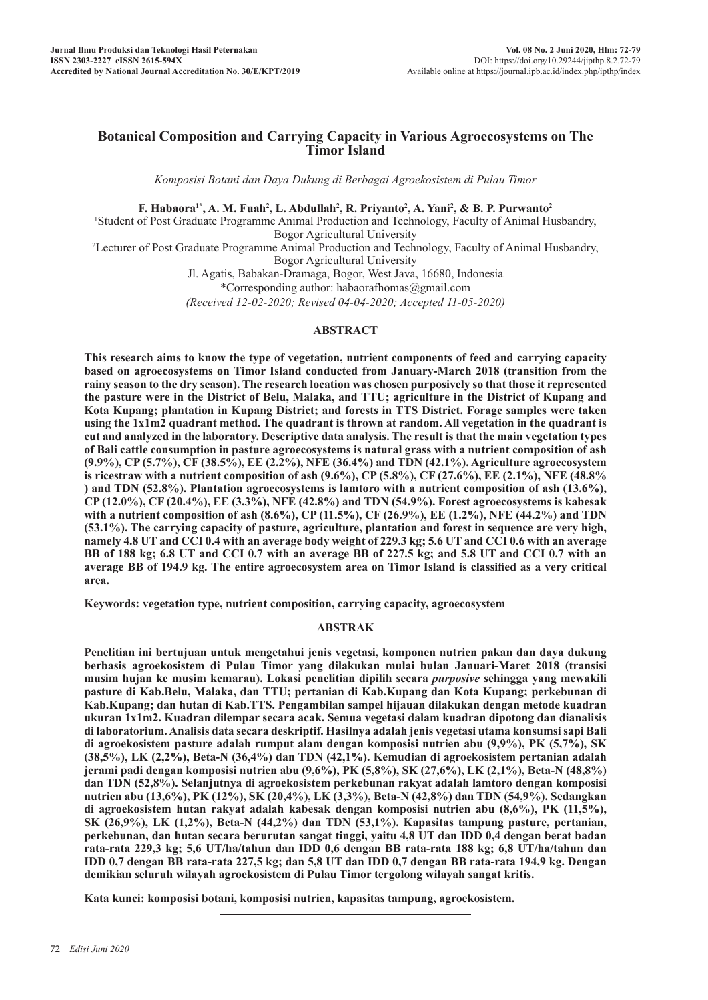# **Botanical Composition and Carrying Capacity in Various Agroecosystems on The Timor Island**

*Komposisi Botani dan Daya Dukung di Berbagai Agroekosistem di Pulau Timor*

**F. Habaora<sup>1\*</sup>, A. M. Fuah<sup>2</sup>, L. Abdullah<sup>2</sup>, R. Priyanto<sup>2</sup>, A. Yani<sup>2</sup>, & B. P. Purwanto<sup>2</sup>** 

1 Student of Post Graduate Programme Animal Production and Technology, Faculty of Animal Husbandry, Bogor Agricultural University

2 Lecturer of Post Graduate Programme Animal Production and Technology, Faculty of Animal Husbandry, Bogor Agricultural University

> Jl. Agatis, Babakan-Dramaga, Bogor, West Java, 16680, Indonesia \*Corresponding author: habaorafhomas@gmail.com

> *(Received 12-02-2020; Revised 04-04-2020; Accepted 11-05-2020)*

### **ABSTRACT**

**This research aims to know the type of vegetation, nutrient components of feed and carrying capacity based on agroecosystems on Timor Island conducted from January-March 2018 (transition from the rainy season to the dry season). The research location was chosen purposively so that those it represented the pasture were in the District of Belu, Malaka, and TTU; agriculture in the District of Kupang and Kota Kupang; plantation in Kupang District; and forests in TTS District. Forage samples were taken using the 1x1m2 quadrant method. The quadrant is thrown at random. All vegetation in the quadrant is cut and analyzed in the laboratory. Descriptive data analysis. The result is that the main vegetation types of Bali cattle consumption in pasture agroecosystems is natural grass with a nutrient composition of ash (9.9%), CP (5.7%), CF (38.5%), EE (2.2%), NFE (36.4%) and TDN (42.1%). Agriculture agroecosystem is ricestraw with a nutrient composition of ash (9.6%), CP (5.8%), CF (27.6%), EE (2.1%), NFE (48.8% ) and TDN (52.8%). Plantation agroecosystems is lamtoro with a nutrient composition of ash (13.6%), CP (12.0%), CF (20.4%), EE (3.3%), NFE (42.8%) and TDN (54.9%). Forest agroecosystems is kabesak with a nutrient composition of ash (8.6%), CP (11.5%), CF (26.9%), EE (1.2%), NFE (44.2%) and TDN (53.1%). The carrying capacity of pasture, agriculture, plantation and forest in sequence are very high, namely 4.8 UT and CCI 0.4 with an average body weight of 229.3 kg; 5.6 UT and CCI 0.6 with an average BB of 188 kg; 6.8 UT and CCI 0.7 with an average BB of 227.5 kg; and 5.8 UT and CCI 0.7 with an average BB of 194.9 kg. The entire agroecosystem area on Timor Island is classified as a very critical area.**

**Keywords: vegetation type, nutrient composition, carrying capacity, agroecosystem**

# **ABSTRAK**

**Penelitian ini bertujuan untuk mengetahui jenis vegetasi, komponen nutrien pakan dan daya dukung berbasis agroekosistem di Pulau Timor yang dilakukan mulai bulan Januari-Maret 2018 (transisi musim hujan ke musim kemarau). Lokasi penelitian dipilih secara** *purposive* **sehingga yang mewakili pasture di Kab.Belu, Malaka, dan TTU; pertanian di Kab.Kupang dan Kota Kupang; perkebunan di Kab.Kupang; dan hutan di Kab.TTS. Pengambilan sampel hijauan dilakukan dengan metode kuadran ukuran 1x1m2. Kuadran dilempar secara acak. Semua vegetasi dalam kuadran dipotong dan dianalisis di laboratorium. Analisis data secara deskriptif. Hasilnya adalah jenis vegetasi utama konsumsi sapi Bali di agroekosistem pasture adalah rumput alam dengan komposisi nutrien abu (9,9%), PK (5,7%), SK (38,5%), LK (2,2%), Beta-N (36,4%) dan TDN (42,1%). Kemudian di agroekosistem pertanian adalah jerami padi dengan komposisi nutrien abu (9,6%), PK (5,8%), SK (27,6%), LK (2,1%), Beta-N (48,8%) dan TDN (52,8%). Selanjutnya di agroekosistem perkebunan rakyat adalah lamtoro dengan komposisi nutrien abu (13,6%), PK (12%), SK (20,4%), LK (3,3%), Beta-N (42,8%) dan TDN (54,9%). Sedangkan di agroekosistem hutan rakyat adalah kabesak dengan komposisi nutrien abu (8,6%), PK (11,5%), SK (26,9%), LK (1,2%), Beta-N (44,2%) dan TDN (53,1%). Kapasitas tampung pasture, pertanian, perkebunan, dan hutan secara berurutan sangat tinggi, yaitu 4,8 UT dan IDD 0,4 dengan berat badan rata-rata 229,3 kg; 5,6 UT/ha/tahun dan IDD 0,6 dengan BB rata-rata 188 kg; 6,8 UT/ha/tahun dan IDD 0,7 dengan BB rata-rata 227,5 kg; dan 5,8 UT dan IDD 0,7 dengan BB rata-rata 194,9 kg. Dengan demikian seluruh wilayah agroekosistem di Pulau Timor tergolong wilayah sangat kritis.**

**Kata kunci: komposisi botani, komposisi nutrien, kapasitas tampung, agroekosistem.**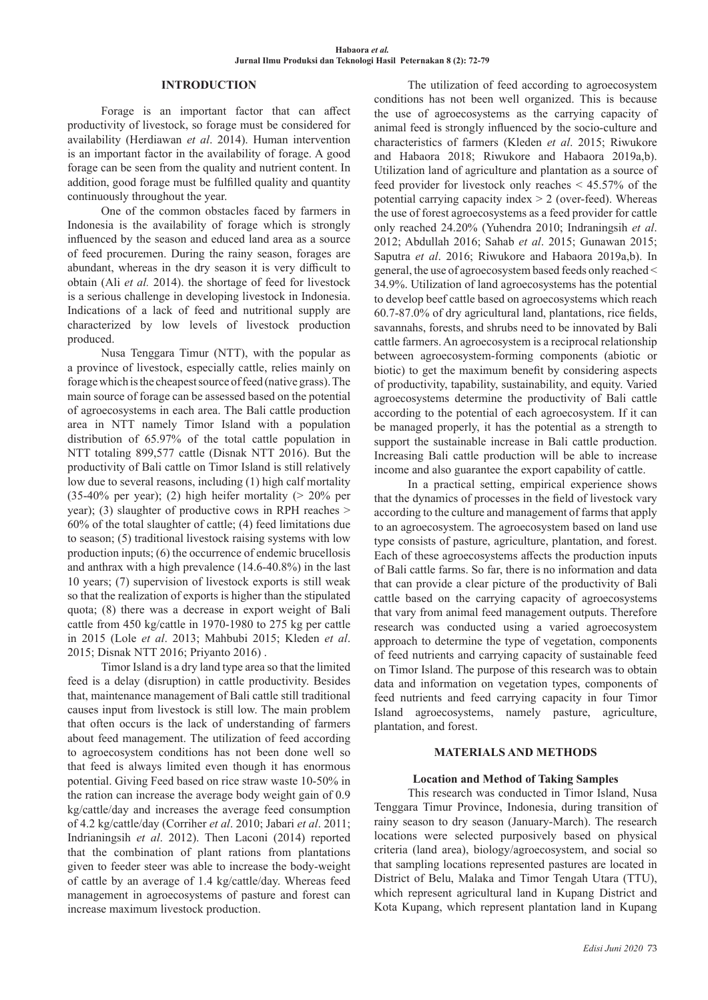### **INTRODUCTION**

Forage is an important factor that can affect productivity of livestock, so forage must be considered for availability (Herdiawan *et al*. 2014). Human intervention is an important factor in the availability of forage. A good forage can be seen from the quality and nutrient content. In addition, good forage must be fulfilled quality and quantity continuously throughout the year.

One of the common obstacles faced by farmers in Indonesia is the availability of forage which is strongly influenced by the season and educed land area as a source of feed procuremen. During the rainy season, forages are abundant, whereas in the dry season it is very difficult to obtain (Ali *et al.* 2014). the shortage of feed for livestock is a serious challenge in developing livestock in Indonesia. Indications of a lack of feed and nutritional supply are characterized by low levels of livestock production produced.

Nusa Tenggara Timur (NTT), with the popular as a province of livestock, especially cattle, relies mainly on forage which is the cheapest source of feed (native grass). The main source of forage can be assessed based on the potential of agroecosystems in each area. The Bali cattle production area in NTT namely Timor Island with a population distribution of 65.97% of the total cattle population in NTT totaling 899,577 cattle (Disnak NTT 2016). But the productivity of Bali cattle on Timor Island is still relatively low due to several reasons, including (1) high calf mortality (35-40% per year); (2) high heifer mortality ( $> 20\%$  per year); (3) slaughter of productive cows in RPH reaches > 60% of the total slaughter of cattle; (4) feed limitations due to season; (5) traditional livestock raising systems with low production inputs; (6) the occurrence of endemic brucellosis and anthrax with a high prevalence (14.6-40.8%) in the last 10 years; (7) supervision of livestock exports is still weak so that the realization of exports is higher than the stipulated quota; (8) there was a decrease in export weight of Bali cattle from 450 kg/cattle in 1970-1980 to 275 kg per cattle in 2015 (Lole *et al*. 2013; Mahbubi 2015; Kleden *et al*. 2015; Disnak NTT 2016; Priyanto 2016) .

Timor Island is a dry land type area so that the limited feed is a delay (disruption) in cattle productivity. Besides that, maintenance management of Bali cattle still traditional causes input from livestock is still low. The main problem that often occurs is the lack of understanding of farmers about feed management. The utilization of feed according to agroecosystem conditions has not been done well so that feed is always limited even though it has enormous potential. Giving Feed based on rice straw waste 10-50% in the ration can increase the average body weight gain of 0.9 kg/cattle/day and increases the average feed consumption of 4.2 kg/cattle/day (Corriher *et al*. 2010; Jabari *et al*. 2011; Indrianingsih *et al*. 2012). Then Laconi (2014) reported that the combination of plant rations from plantations given to feeder steer was able to increase the body-weight of cattle by an average of 1.4 kg/cattle/day. Whereas feed management in agroecosystems of pasture and forest can increase maximum livestock production.

The utilization of feed according to agroecosystem conditions has not been well organized. This is because the use of agroecosystems as the carrying capacity of animal feed is strongly influenced by the socio-culture and characteristics of farmers (Kleden *et al*. 2015; Riwukore and Habaora 2018; Riwukore and Habaora 2019a,b). Utilization land of agriculture and plantation as a source of feed provider for livestock only reaches < 45.57% of the potential carrying capacity index  $> 2$  (over-feed). Whereas the use of forest agroecosystems as a feed provider for cattle only reached 24.20% (Yuhendra 2010; Indraningsih *et al*. 2012; Abdullah 2016; Sahab *et al*. 2015; Gunawan 2015; Saputra *et al*. 2016; Riwukore and Habaora 2019a,b). In general, the use of agroecosystem based feeds only reached < 34.9%. Utilization of land agroecosystems has the potential to develop beef cattle based on agroecosystems which reach 60.7-87.0% of dry agricultural land, plantations, rice fields, savannahs, forests, and shrubs need to be innovated by Bali cattle farmers. An agroecosystem is a reciprocal relationship between agroecosystem-forming components (abiotic or biotic) to get the maximum benefit by considering aspects of productivity, tapability, sustainability, and equity. Varied agroecosystems determine the productivity of Bali cattle according to the potential of each agroecosystem. If it can be managed properly, it has the potential as a strength to support the sustainable increase in Bali cattle production. Increasing Bali cattle production will be able to increase income and also guarantee the export capability of cattle.

In a practical setting, empirical experience shows that the dynamics of processes in the field of livestock vary according to the culture and management of farms that apply to an agroecosystem. The agroecosystem based on land use type consists of pasture, agriculture, plantation, and forest. Each of these agroecosystems affects the production inputs of Bali cattle farms. So far, there is no information and data that can provide a clear picture of the productivity of Bali cattle based on the carrying capacity of agroecosystems that vary from animal feed management outputs. Therefore research was conducted using a varied agroecosystem approach to determine the type of vegetation, components of feed nutrients and carrying capacity of sustainable feed on Timor Island. The purpose of this research was to obtain data and information on vegetation types, components of feed nutrients and feed carrying capacity in four Timor Island agroecosystems, namely pasture, agriculture, plantation, and forest.

#### **MATERIALS AND METHODS**

# **Location and Method of Taking Samples**

This research was conducted in Timor Island, Nusa Tenggara Timur Province, Indonesia, during transition of rainy season to dry season (January-March). The research locations were selected purposively based on physical criteria (land area), biology/agroecosystem, and social so that sampling locations represented pastures are located in District of Belu, Malaka and Timor Tengah Utara (TTU), which represent agricultural land in Kupang District and Kota Kupang, which represent plantation land in Kupang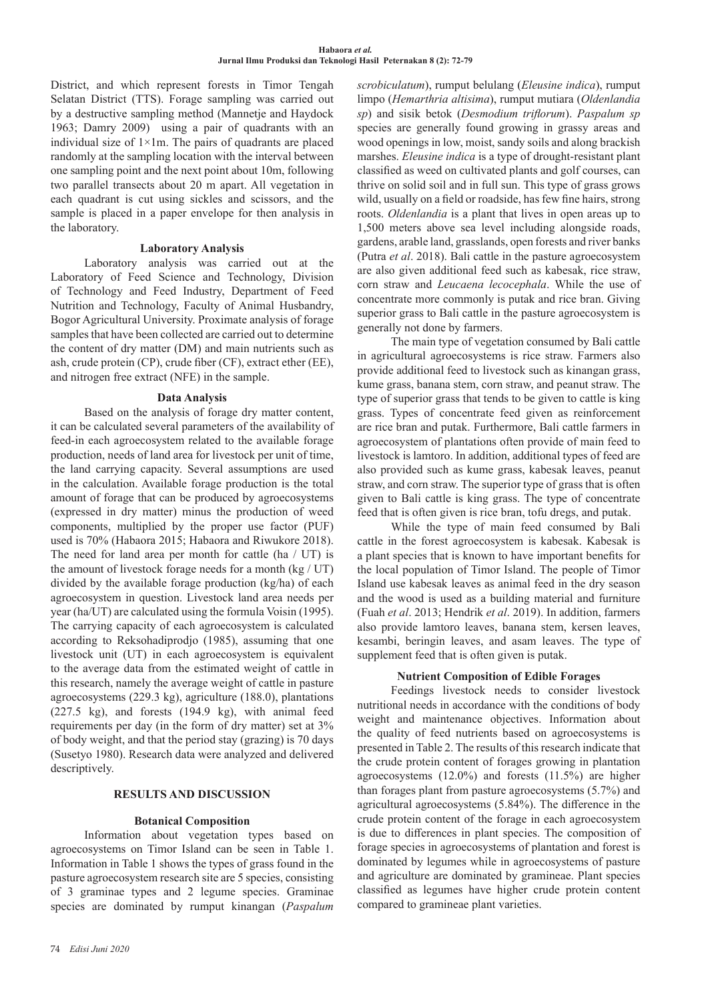District, and which represent forests in Timor Tengah Selatan District (TTS). Forage sampling was carried out by a destructive sampling method (Mannetje and Haydock 1963; Damry 2009) using a pair of quadrants with an individual size of  $1\times1$ m. The pairs of quadrants are placed randomly at the sampling location with the interval between one sampling point and the next point about 10m, following two parallel transects about 20 m apart. All vegetation in each quadrant is cut using sickles and scissors, and the sample is placed in a paper envelope for then analysis in the laboratory.

## **Laboratory Analysis**

Laboratory analysis was carried out at the Laboratory of Feed Science and Technology, Division of Technology and Feed Industry, Department of Feed Nutrition and Technology, Faculty of Animal Husbandry, Bogor Agricultural University. Proximate analysis of forage samples that have been collected are carried out to determine the content of dry matter (DM) and main nutrients such as ash, crude protein (CP), crude fiber (CF), extract ether (EE), and nitrogen free extract (NFE) in the sample.

## **Data Analysis**

Based on the analysis of forage dry matter content, it can be calculated several parameters of the availability of feed-in each agroecosystem related to the available forage production, needs of land area for livestock per unit of time, the land carrying capacity. Several assumptions are used in the calculation. Available forage production is the total amount of forage that can be produced by agroecosystems (expressed in dry matter) minus the production of weed components, multiplied by the proper use factor (PUF) used is 70% (Habaora 2015; Habaora and Riwukore 2018). The need for land area per month for cattle (ha / UT) is the amount of livestock forage needs for a month (kg / UT) divided by the available forage production (kg/ha) of each agroecosystem in question. Livestock land area needs per year (ha/UT) are calculated using the formula Voisin (1995). The carrying capacity of each agroecosystem is calculated according to Reksohadiprodjo (1985), assuming that one livestock unit (UT) in each agroecosystem is equivalent to the average data from the estimated weight of cattle in this research, namely the average weight of cattle in pasture agroecosystems (229.3 kg), agriculture (188.0), plantations (227.5 kg), and forests (194.9 kg), with animal feed requirements per day (in the form of dry matter) set at 3% of body weight, and that the period stay (grazing) is 70 days (Susetyo 1980). Research data were analyzed and delivered descriptively.

# **RESULTS AND DISCUSSION**

# **Botanical Composition**

Information about vegetation types based on agroecosystems on Timor Island can be seen in Table 1. Information in Table 1 shows the types of grass found in the pasture agroecosystem research site are 5 species, consisting of 3 graminae types and 2 legume species. Graminae species are dominated by rumput kinangan (*Paspalum*  *scrobiculatum*), rumput belulang (*Eleusine indica*), rumput limpo (*Hemarthria altisima*), rumput mutiara (*Oldenlandia sp*) and sisik betok (*Desmodium triflorum*). *Paspalum sp* species are generally found growing in grassy areas and wood openings in low, moist, sandy soils and along brackish marshes. *Eleusine indica* is a type of drought-resistant plant classified as weed on cultivated plants and golf courses, can thrive on solid soil and in full sun. This type of grass grows wild, usually on a field or roadside, has few fine hairs, strong roots. *Oldenlandia* is a plant that lives in open areas up to 1,500 meters above sea level including alongside roads, gardens, arable land, grasslands, open forests and river banks (Putra *et al*. 2018). Bali cattle in the pasture agroecosystem are also given additional feed such as kabesak, rice straw, corn straw and *Leucaena lecocephala*. While the use of concentrate more commonly is putak and rice bran. Giving superior grass to Bali cattle in the pasture agroecosystem is generally not done by farmers.

The main type of vegetation consumed by Bali cattle in agricultural agroecosystems is rice straw. Farmers also provide additional feed to livestock such as kinangan grass, kume grass, banana stem, corn straw, and peanut straw. The type of superior grass that tends to be given to cattle is king grass. Types of concentrate feed given as reinforcement are rice bran and putak. Furthermore, Bali cattle farmers in agroecosystem of plantations often provide of main feed to livestock is lamtoro. In addition, additional types of feed are also provided such as kume grass, kabesak leaves, peanut straw, and corn straw. The superior type of grass that is often given to Bali cattle is king grass. The type of concentrate feed that is often given is rice bran, tofu dregs, and putak.

While the type of main feed consumed by Bali cattle in the forest agroecosystem is kabesak. Kabesak is a plant species that is known to have important benefits for the local population of Timor Island. The people of Timor Island use kabesak leaves as animal feed in the dry season and the wood is used as a building material and furniture (Fuah *et al*. 2013; Hendrik *et al*. 2019). In addition, farmers also provide lamtoro leaves, banana stem, kersen leaves, kesambi, beringin leaves, and asam leaves. The type of supplement feed that is often given is putak.

#### **Nutrient Composition of Edible Forages**

Feedings livestock needs to consider livestock nutritional needs in accordance with the conditions of body weight and maintenance objectives. Information about the quality of feed nutrients based on agroecosystems is presented in Table 2. The results of this research indicate that the crude protein content of forages growing in plantation agroecosystems (12.0%) and forests (11.5%) are higher than forages plant from pasture agroecosystems (5.7%) and agricultural agroecosystems (5.84%). The difference in the crude protein content of the forage in each agroecosystem is due to differences in plant species. The composition of forage species in agroecosystems of plantation and forest is dominated by legumes while in agroecosystems of pasture and agriculture are dominated by gramineae. Plant species classified as legumes have higher crude protein content compared to gramineae plant varieties.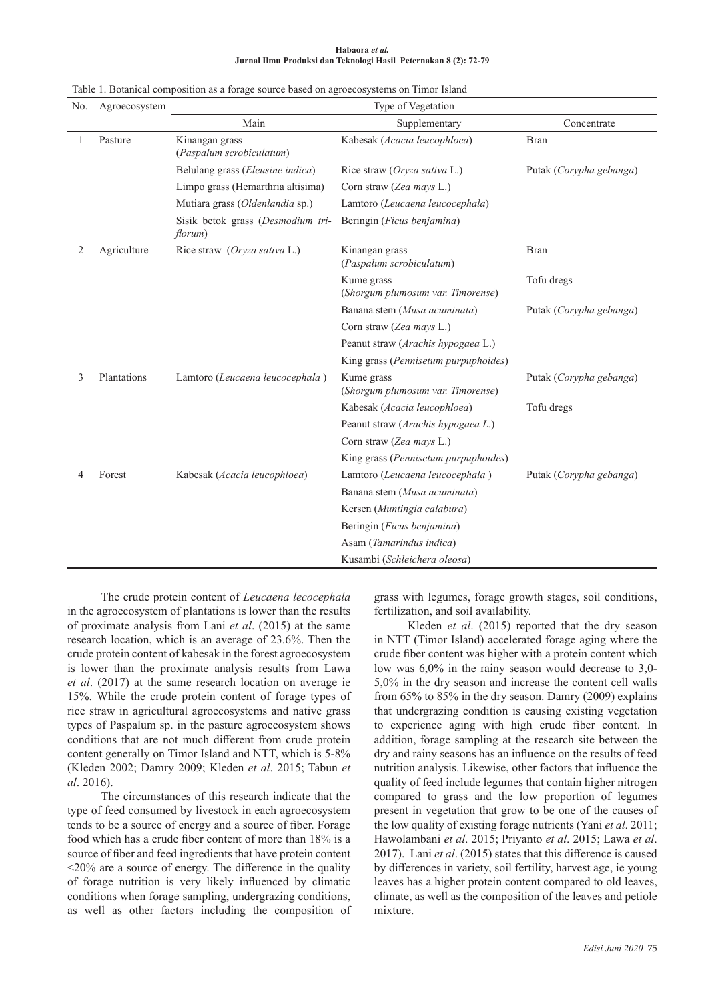|                                                                  | $\cdots$ |  |
|------------------------------------------------------------------|----------|--|
| Jurnal Ilmu Produksi dan Teknologi Hasil Peternakan 8 (2): 72-79 |          |  |
|                                                                  |          |  |

**Habaora** *et al.* 

| No. | Agroecosystem | Type of Vegetation                           |                                                 |                         |  |
|-----|---------------|----------------------------------------------|-------------------------------------------------|-------------------------|--|
|     |               | Main                                         | Supplementary                                   | Concentrate             |  |
| 1   | Pasture       | Kinangan grass<br>(Paspalum scrobiculatum)   | Kabesak (Acacia leucophloea)                    | <b>Bran</b>             |  |
|     |               | Belulang grass (Eleusine indica)             | Rice straw (Oryza sativa L.)                    | Putak (Corypha gebanga) |  |
|     |               | Limpo grass (Hemarthria altisima)            | Corn straw (Zea mays L.)                        |                         |  |
|     |               | Mutiara grass (Oldenlandia sp.)              | Lamtoro (Leucaena leucocephala)                 |                         |  |
|     |               | Sisik betok grass (Desmodium tri-<br>florum) | Beringin (Ficus benjamina)                      |                         |  |
| 2   | Agriculture   | Rice straw (Oryza sativa L.)                 | Kinangan grass<br>(Paspalum scrobiculatum)      | <b>Bran</b>             |  |
|     |               |                                              | Kume grass<br>(Shorgum plumosum var. Timorense) | Tofu dregs              |  |
|     |               |                                              | Banana stem (Musa acuminata)                    | Putak (Corypha gebanga) |  |
|     |               |                                              | Corn straw (Zea mays L.)                        |                         |  |
|     |               |                                              | Peanut straw (Arachis hypogaea L.)              |                         |  |
|     |               |                                              | King grass (Pennisetum purpuphoides)            |                         |  |
| 3   | Plantations   | Lamtoro (Leucaena leucocephala)              | Kume grass<br>(Shorgum plumosum var. Timorense) | Putak (Corypha gebanga) |  |
|     |               |                                              | Kabesak (Acacia leucophloea)                    | Tofu dregs              |  |
|     |               |                                              | Peanut straw (Arachis hypogaea L.)              |                         |  |
|     |               |                                              | Corn straw (Zea mays L.)                        |                         |  |
|     |               |                                              | King grass (Pennisetum purpuphoides)            |                         |  |
| 4   | Forest        | Kabesak (Acacia leucophloea)                 | Lamtoro (Leucaena leucocephala)                 | Putak (Corypha gebanga) |  |
|     |               |                                              | Banana stem (Musa acuminata)                    |                         |  |
|     |               |                                              | Kersen (Muntingia calabura)                     |                         |  |
|     |               |                                              | Beringin (Ficus benjamina)                      |                         |  |
|     |               |                                              | Asam (Tamarindus indica)                        |                         |  |
|     |               |                                              | Kusambi (Schleichera oleosa)                    |                         |  |

The crude protein content of *Leucaena lecocephala* in the agroecosystem of plantations is lower than the results of proximate analysis from Lani *et al*. (2015) at the same research location, which is an average of 23.6%. Then the crude protein content of kabesak in the forest agroecosystem is lower than the proximate analysis results from Lawa *et al*. (2017) at the same research location on average ie 15%. While the crude protein content of forage types of rice straw in agricultural agroecosystems and native grass types of Paspalum sp. in the pasture agroecosystem shows conditions that are not much different from crude protein content generally on Timor Island and NTT, which is 5-8% (Kleden 2002; Damry 2009; Kleden *et al*. 2015; Tabun *et al*. 2016).

The circumstances of this research indicate that the type of feed consumed by livestock in each agroecosystem tends to be a source of energy and a source of fiber. Forage food which has a crude fiber content of more than 18% is a source of fiber and feed ingredients that have protein content  $\leq$ 20% are a source of energy. The difference in the quality of forage nutrition is very likely influenced by climatic conditions when forage sampling, undergrazing conditions, as well as other factors including the composition of grass with legumes, forage growth stages, soil conditions, fertilization, and soil availability.

Kleden *et al*. (2015) reported that the dry season in NTT (Timor Island) accelerated forage aging where the crude fiber content was higher with a protein content which low was 6,0% in the rainy season would decrease to 3,0- 5,0% in the dry season and increase the content cell walls from 65% to 85% in the dry season. Damry (2009) explains that undergrazing condition is causing existing vegetation to experience aging with high crude fiber content. In addition, forage sampling at the research site between the dry and rainy seasons has an influence on the results of feed nutrition analysis. Likewise, other factors that influence the quality of feed include legumes that contain higher nitrogen compared to grass and the low proportion of legumes present in vegetation that grow to be one of the causes of the low quality of existing forage nutrients (Yani *et al*. 2011; Hawolambani *et al*. 2015; Priyanto *et al*. 2015; Lawa *et al*. 2017). Lani *et al*. (2015) states that this difference is caused by differences in variety, soil fertility, harvest age, ie young leaves has a higher protein content compared to old leaves, climate, as well as the composition of the leaves and petiole mixture.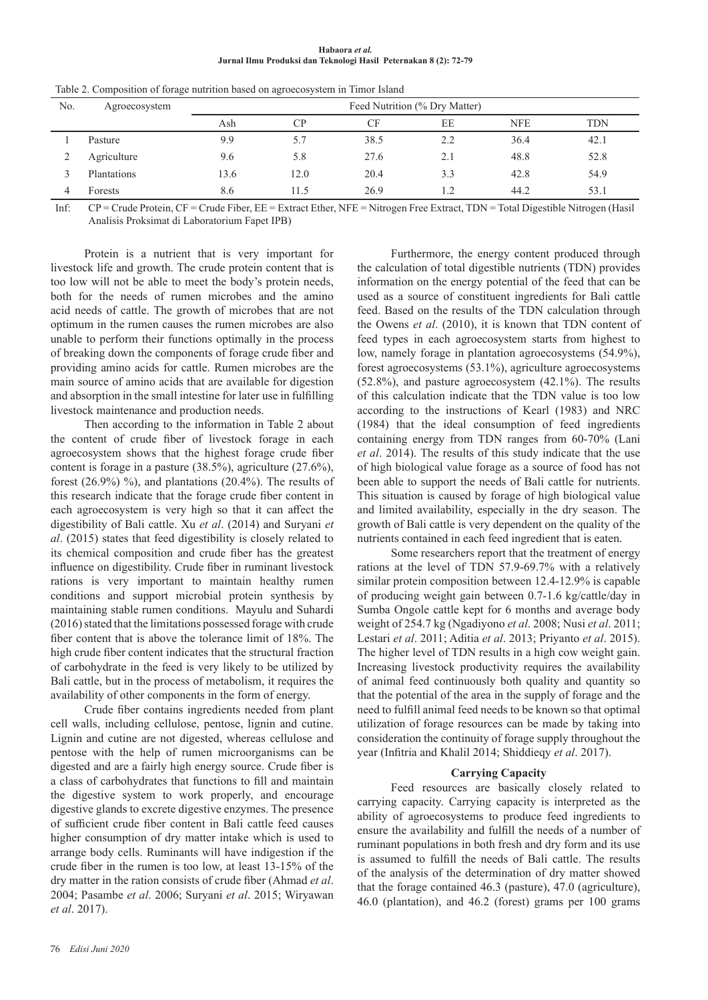| Habaora et al. |  |                                                                  |  |  |  |  |
|----------------|--|------------------------------------------------------------------|--|--|--|--|
|                |  | Jurnal Ilmu Produksi dan Teknologi Hasil Peternakan 8 (2): 72-79 |  |  |  |  |

| No. | Agroecosystem | Feed Nutrition (% Dry Matter) |      |      |     |            |            |
|-----|---------------|-------------------------------|------|------|-----|------------|------------|
|     |               | Ash                           | CP   | CF   | EE  | <b>NFE</b> | <b>TDN</b> |
|     | Pasture       | 9.9                           | 5.7  | 38.5 | 2.2 | 36.4       | 42.1       |
|     | Agriculture   | 9.6                           | 5.8  | 27.6 | 2.1 | 48.8       | 52.8       |
|     | Plantations   | 13.6                          | 12.0 | 20.4 | 3.3 | 42.8       | 54.9       |
|     | Forests       | 8.6                           | 11.5 | 26.9 | 1.2 | 44.2       | 53.1       |

Table 2. Composition of forage nutrition based on agroecosystem in Timor Island

Inf: CP = Crude Protein, CF = Crude Fiber, EE = Extract Ether, NFE = Nitrogen Free Extract, TDN = Total Digestible Nitrogen (Hasil Analisis Proksimat di Laboratorium Fapet IPB)

Protein is a nutrient that is very important for livestock life and growth. The crude protein content that is too low will not be able to meet the body's protein needs, both for the needs of rumen microbes and the amino acid needs of cattle. The growth of microbes that are not optimum in the rumen causes the rumen microbes are also unable to perform their functions optimally in the process of breaking down the components of forage crude fiber and providing amino acids for cattle. Rumen microbes are the main source of amino acids that are available for digestion and absorption in the small intestine for later use in fulfilling livestock maintenance and production needs.

Then according to the information in Table 2 about the content of crude fiber of livestock forage in each agroecosystem shows that the highest forage crude fiber content is forage in a pasture (38.5%), agriculture (27.6%), forest (26.9%) %), and plantations (20.4%). The results of this research indicate that the forage crude fiber content in each agroecosystem is very high so that it can affect the digestibility of Bali cattle. Xu *et al*. (2014) and Suryani *et al*. (2015) states that feed digestibility is closely related to its chemical composition and crude fiber has the greatest influence on digestibility. Crude fiber in ruminant livestock rations is very important to maintain healthy rumen conditions and support microbial protein synthesis by maintaining stable rumen conditions. Mayulu and Suhardi (2016) stated that the limitations possessed forage with crude fiber content that is above the tolerance limit of 18%. The high crude fiber content indicates that the structural fraction of carbohydrate in the feed is very likely to be utilized by Bali cattle, but in the process of metabolism, it requires the availability of other components in the form of energy.

Crude fiber contains ingredients needed from plant cell walls, including cellulose, pentose, lignin and cutine. Lignin and cutine are not digested, whereas cellulose and pentose with the help of rumen microorganisms can be digested and are a fairly high energy source. Crude fiber is a class of carbohydrates that functions to fill and maintain the digestive system to work properly, and encourage digestive glands to excrete digestive enzymes. The presence of sufficient crude fiber content in Bali cattle feed causes higher consumption of dry matter intake which is used to arrange body cells. Ruminants will have indigestion if the crude fiber in the rumen is too low, at least 13-15% of the dry matter in the ration consists of crude fiber (Ahmad *et al*. 2004; Pasambe *et al*. 2006; Suryani *et al*. 2015; Wiryawan *et al*. 2017).

Furthermore, the energy content produced through the calculation of total digestible nutrients (TDN) provides information on the energy potential of the feed that can be used as a source of constituent ingredients for Bali cattle feed. Based on the results of the TDN calculation through the Owens *et al*. (2010), it is known that TDN content of feed types in each agroecosystem starts from highest to low, namely forage in plantation agroecosystems (54.9%), forest agroecosystems (53.1%), agriculture agroecosystems (52.8%), and pasture agroecosystem (42.1%). The results of this calculation indicate that the TDN value is too low according to the instructions of Kearl (1983) and NRC (1984) that the ideal consumption of feed ingredients containing energy from TDN ranges from 60-70% (Lani *et al*. 2014). The results of this study indicate that the use of high biological value forage as a source of food has not been able to support the needs of Bali cattle for nutrients. This situation is caused by forage of high biological value and limited availability, especially in the dry season. The growth of Bali cattle is very dependent on the quality of the nutrients contained in each feed ingredient that is eaten.

Some researchers report that the treatment of energy rations at the level of TDN 57.9-69.7% with a relatively similar protein composition between 12.4-12.9% is capable of producing weight gain between 0.7-1.6 kg/cattle/day in Sumba Ongole cattle kept for 6 months and average body weight of 254.7 kg (Ngadiyono *et al*. 2008; Nusi *et al*. 2011; Lestari *et al*. 2011; Aditia *et al*. 2013; Priyanto *et al*. 2015). The higher level of TDN results in a high cow weight gain. Increasing livestock productivity requires the availability of animal feed continuously both quality and quantity so that the potential of the area in the supply of forage and the need to fulfill animal feed needs to be known so that optimal utilization of forage resources can be made by taking into consideration the continuity of forage supply throughout the year (Infitria and Khalil 2014; Shiddieqy *et al*. 2017).

#### **Carrying Capacity**

Feed resources are basically closely related to carrying capacity. Carrying capacity is interpreted as the ability of agroecosystems to produce feed ingredients to ensure the availability and fulfill the needs of a number of ruminant populations in both fresh and dry form and its use is assumed to fulfill the needs of Bali cattle. The results of the analysis of the determination of dry matter showed that the forage contained 46.3 (pasture), 47.0 (agriculture), 46.0 (plantation), and 46.2 (forest) grams per 100 grams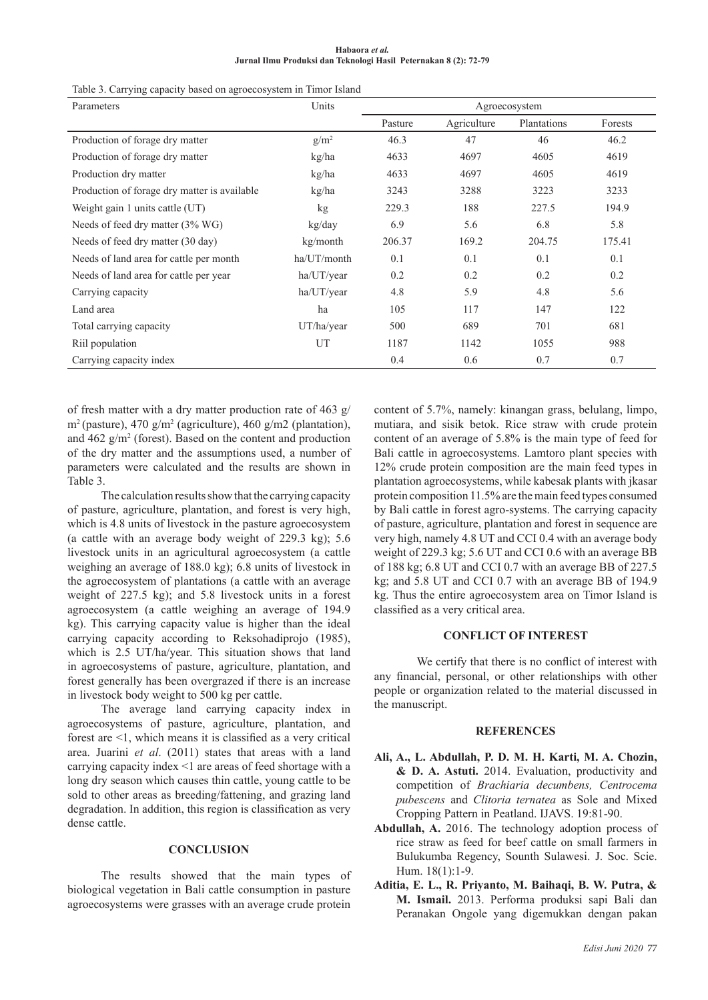| Habaora et al.                                                   |  |  |  |  |  |
|------------------------------------------------------------------|--|--|--|--|--|
| Jurnal Ilmu Produksi dan Teknologi Hasil Peternakan 8 (2): 72-79 |  |  |  |  |  |

| Table 5. Carrying eapacity based on agroceosystem in Thilor Island |             |               |             |             |         |
|--------------------------------------------------------------------|-------------|---------------|-------------|-------------|---------|
| Parameters                                                         | Units       | Agroecosystem |             |             |         |
|                                                                    |             | Pasture       | Agriculture | Plantations | Forests |
| Production of forage dry matter                                    | $g/m^2$     | 46.3          | 47          | 46          | 46.2    |
| Production of forage dry matter                                    | kg/ha       | 4633          | 4697        | 4605        | 4619    |
| Production dry matter                                              | kg/ha       | 4633          | 4697        | 4605        | 4619    |
| Production of forage dry matter is available                       | kg/ha       | 3243          | 3288        | 3223        | 3233    |
| Weight gain 1 units cattle (UT)                                    | kg          | 229.3         | 188         | 227.5       | 194.9   |
| Needs of feed dry matter (3% WG)                                   | kg/day      | 6.9           | 5.6         | 6.8         | 5.8     |
| Needs of feed dry matter (30 day)                                  | kg/month    | 206.37        | 169.2       | 204.75      | 175.41  |
| Needs of land area for cattle per month                            | ha/UT/month | 0.1           | 0.1         | 0.1         | 0.1     |
| Needs of land area for cattle per year                             | ha/UT/year  | 0.2           | 0.2         | 0.2         | 0.2     |
| Carrying capacity                                                  | ha/UT/year  | 4.8           | 5.9         | 4.8         | 5.6     |
| Land area                                                          | ha          | 105           | 117         | 147         | 122     |
| Total carrying capacity                                            | UT/ha/year  | 500           | 689         | 701         | 681     |
| Riil population                                                    | UT          | 1187          | 1142        | 1055        | 988     |
| Carrying capacity index                                            |             | 0.4           | 0.6         | 0.7         | 0.7     |

Table 3. Carrying capacity based on agroecosystem in Timor Island

of fresh matter with a dry matter production rate of 463 g/  $m^2$  (pasture), 470 g/m<sup>2</sup> (agriculture), 460 g/m2 (plantation), and  $462$  g/m<sup>2</sup> (forest). Based on the content and production of the dry matter and the assumptions used, a number of parameters were calculated and the results are shown in Table 3.

The calculation results show that the carrying capacity of pasture, agriculture, plantation, and forest is very high, which is 4.8 units of livestock in the pasture agroecosystem (a cattle with an average body weight of 229.3 kg); 5.6 livestock units in an agricultural agroecosystem (a cattle weighing an average of 188.0 kg); 6.8 units of livestock in the agroecosystem of plantations (a cattle with an average weight of 227.5 kg); and 5.8 livestock units in a forest agroecosystem (a cattle weighing an average of 194.9 kg). This carrying capacity value is higher than the ideal carrying capacity according to Reksohadiprojo (1985), which is 2.5 UT/ha/year. This situation shows that land in agroecosystems of pasture, agriculture, plantation, and forest generally has been overgrazed if there is an increase in livestock body weight to 500 kg per cattle.

The average land carrying capacity index in agroecosystems of pasture, agriculture, plantation, and forest are <1, which means it is classified as a very critical area. Juarini *et al*. (2011) states that areas with a land carrying capacity index <1 are areas of feed shortage with a long dry season which causes thin cattle, young cattle to be sold to other areas as breeding/fattening, and grazing land degradation. In addition, this region is classification as very dense cattle.

# **CONCLUSION**

The results showed that the main types of biological vegetation in Bali cattle consumption in pasture agroecosystems were grasses with an average crude protein

content of 5.7%, namely: kinangan grass, belulang, limpo, mutiara, and sisik betok. Rice straw with crude protein content of an average of 5.8% is the main type of feed for Bali cattle in agroecosystems. Lamtoro plant species with 12% crude protein composition are the main feed types in plantation agroecosystems, while kabesak plants with jkasar protein composition 11.5% are the main feed types consumed by Bali cattle in forest agro-systems. The carrying capacity of pasture, agriculture, plantation and forest in sequence are very high, namely 4.8 UT and CCI 0.4 with an average body weight of 229.3 kg; 5.6 UT and CCI 0.6 with an average BB of 188 kg; 6.8 UT and CCI 0.7 with an average BB of 227.5 kg; and 5.8 UT and CCI 0.7 with an average BB of 194.9 kg. Thus the entire agroecosystem area on Timor Island is classified as a very critical area.

### **CONFLICT OF INTEREST**

We certify that there is no conflict of interest with any financial, personal, or other relationships with other people or organization related to the material discussed in the manuscript.

#### **REFERENCES**

- **Ali, A., L. Abdullah, P. D. M. H. Karti, M. A. Chozin, & D. A. Astuti.** 2014. Evaluation, productivity and competition of *Brachiaria decumbens, Centrocema pubescens* and *Clitoria ternatea* as Sole and Mixed Cropping Pattern in Peatland. IJAVS. 19:81-90.
- **Abdullah, A.** 2016. The technology adoption process of rice straw as feed for beef cattle on small farmers in Bulukumba Regency, Sounth Sulawesi. J. Soc. Scie. Hum. 18(1):1-9.
- **Aditia, E. L., R. Priyanto, M. Baihaqi, B. W. Putra, & M. Ismail.** 2013. Performa produksi sapi Bali dan Peranakan Ongole yang digemukkan dengan pakan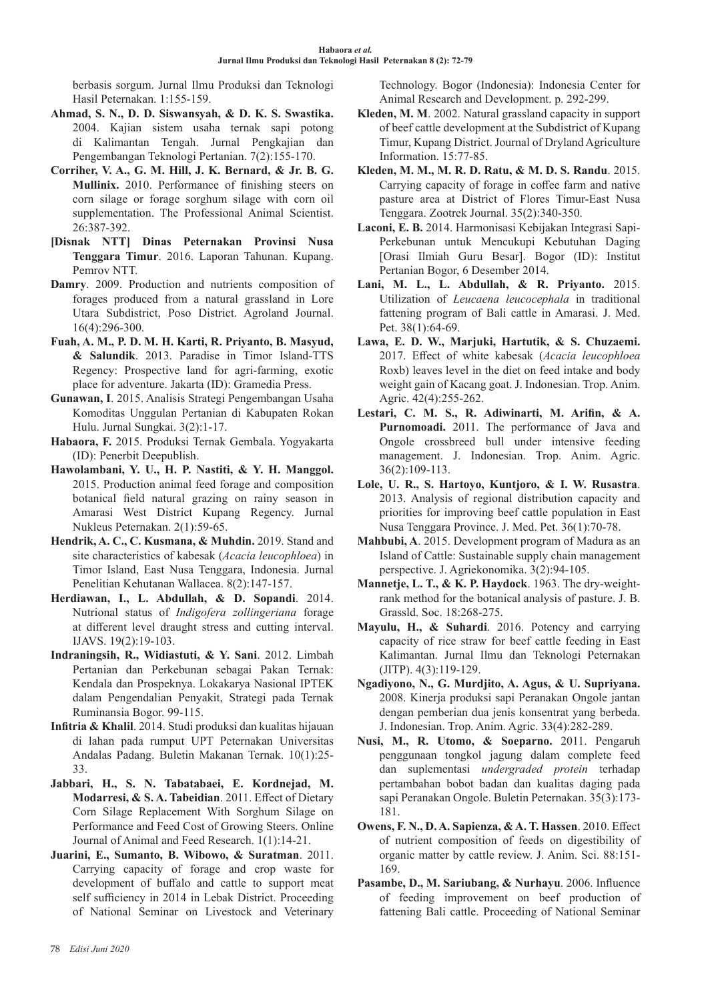berbasis sorgum. Jurnal Ilmu Produksi dan Teknologi Hasil Peternakan. 1:155-159.

- **Ahmad, S. N., D. D. Siswansyah, & D. K. S. Swastika.** 2004. Kajian sistem usaha ternak sapi potong di Kalimantan Tengah. Jurnal Pengkajian dan Pengembangan Teknologi Pertanian. 7(2):155-170.
- **Corriher, V. A., G. M. Hill, J. K. Bernard, & Jr. B. G. Mullinix.** 2010. Performance of finishing steers on corn silage or forage sorghum silage with corn oil supplementation. The Professional Animal Scientist. 26:387-392.
- **[Disnak NTT] Dinas Peternakan Provinsi Nusa Tenggara Timur**. 2016. Laporan Tahunan. Kupang. Pemrov NTT.
- **Damry**. 2009. Production and nutrients composition of forages produced from a natural grassland in Lore Utara Subdistrict, Poso District. Agroland Journal. 16(4):296-300.
- **Fuah, A. M., P. D. M. H. Karti, R. Priyanto, B. Masyud, & Salundik**. 2013. Paradise in Timor Island-TTS Regency: Prospective land for agri-farming, exotic place for adventure. Jakarta (ID): Gramedia Press.
- **Gunawan, I**. 2015. Analisis Strategi Pengembangan Usaha Komoditas Unggulan Pertanian di Kabupaten Rokan Hulu. Jurnal Sungkai. 3(2):1-17.
- **Habaora, F.** 2015. Produksi Ternak Gembala. Yogyakarta (ID): Penerbit Deepublish.
- **Hawolambani, Y. U., H. P. Nastiti, & Y. H. Manggol.** 2015. Production animal feed forage and composition botanical field natural grazing on rainy season in Amarasi West District Kupang Regency. Jurnal Nukleus Peternakan. 2(1):59-65.
- **Hendrik, A. C., C. Kusmana, & Muhdin.** 2019. Stand and site characteristics of kabesak (*Acacia leucophloea*) in Timor Island, East Nusa Tenggara, Indonesia. Jurnal Penelitian Kehutanan Wallacea. 8(2):147-157.
- **Herdiawan, I., L. Abdullah, & D. Sopandi**. 2014. Nutrional status of *Indigofera zollingeriana* forage at different level draught stress and cutting interval. IJAVS. 19(2):19-103.
- **Indraningsih, R., Widiastuti, & Y. Sani**. 2012. Limbah Pertanian dan Perkebunan sebagai Pakan Ternak: Kendala dan Prospeknya. Lokakarya Nasional IPTEK dalam Pengendalian Penyakit, Strategi pada Ternak Ruminansia Bogor. 99-115.
- **Infitria & Khalil**. 2014. Studi produksi dan kualitas hijauan di lahan pada rumput UPT Peternakan Universitas Andalas Padang. Buletin Makanan Ternak. 10(1):25- 33.
- **Jabbari, H., S. N. Tabatabaei, E. Kordnejad, M. Modarresi, & S. A. Tabeidian**. 2011. Effect of Dietary Corn Silage Replacement With Sorghum Silage on Performance and Feed Cost of Growing Steers. Online Journal of Animal and Feed Research. 1(1):14-21.
- **Juarini, E., Sumanto, B. Wibowo, & Suratman**. 2011. Carrying capacity of forage and crop waste for development of buffalo and cattle to support meat self sufficiency in 2014 in Lebak District. Proceeding of National Seminar on Livestock and Veterinary

Technology. Bogor (Indonesia): Indonesia Center for Animal Research and Development. p. 292-299.

- **Kleden, M. M**. 2002. Natural grassland capacity in support of beef cattle development at the Subdistrict of Kupang Timur, Kupang District. Journal of Dryland Agriculture Information. 15:77-85.
- **Kleden, M. M., M. R. D. Ratu, & M. D. S. Randu**. 2015. Carrying capacity of forage in coffee farm and native pasture area at District of Flores Timur-East Nusa Tenggara. Zootrek Journal. 35(2):340-350.
- **Laconi, E. B.** 2014. Harmonisasi Kebijakan Integrasi Sapi-Perkebunan untuk Mencukupi Kebutuhan Daging [Orasi Ilmiah Guru Besar]. Bogor (ID): Institut Pertanian Bogor, 6 Desember 2014.
- **Lani, M. L., L. Abdullah, & R. Priyanto.** 2015. Utilization of *Leucaena leucocephala* in traditional fattening program of Bali cattle in Amarasi. J. Med. Pet. 38(1):64-69.
- **Lawa, E. D. W., Marjuki, Hartutik, & S. Chuzaemi.** 2017. Effect of white kabesak (*Acacia leucophloea*  Roxb) leaves level in the diet on feed intake and body weight gain of Kacang goat. J. Indonesian. Trop. Anim. Agric. 42(4):255-262.
- **Lestari, C. M. S., R. Adiwinarti, M. Arifin, & A. Purnomoadi.** 2011. The performance of Java and Ongole crossbreed bull under intensive feeding management. J. Indonesian. Trop. Anim. Agric. 36(2):109-113.
- **Lole, U. R., S. Hartoyo, Kuntjoro, & I. W. Rusastra**. 2013. Analysis of regional distribution capacity and priorities for improving beef cattle population in East Nusa Tenggara Province. J. Med. Pet. 36(1):70-78.
- **Mahbubi, A**. 2015. Development program of Madura as an Island of Cattle: Sustainable supply chain management perspective. J. Agriekonomika. 3(2):94-105.
- **Mannetje, L. T., & K. P. Haydock**. 1963. The dry-weightrank method for the botanical analysis of pasture. J. B. Grassld. Soc. 18:268-275.
- **Mayulu, H., & Suhardi**. 2016. Potency and carrying capacity of rice straw for beef cattle feeding in East Kalimantan. Jurnal Ilmu dan Teknologi Peternakan (JITP). 4(3):119-129.
- **Ngadiyono, N., G. Murdjito, A. Agus, & U. Supriyana.** 2008. Kinerja produksi sapi Peranakan Ongole jantan dengan pemberian dua jenis konsentrat yang berbeda. J. Indonesian. Trop. Anim. Agric. 33(4):282-289.
- **Nusi, M., R. Utomo, & Soeparno.** 2011. Pengaruh penggunaan tongkol jagung dalam complete feed dan suplementasi *undergraded protein* terhadap pertambahan bobot badan dan kualitas daging pada sapi Peranakan Ongole. Buletin Peternakan. 35(3):173- 181.
- **Owens, F. N., D. A. Sapienza, & A. T. Hassen**. 2010. Effect of nutrient composition of feeds on digestibility of organic matter by cattle review. J. Anim. Sci. 88:151- 169.
- **Pasambe, D., M. Sariubang, & Nurhayu**. 2006. Influence of feeding improvement on beef production of fattening Bali cattle. Proceeding of National Seminar